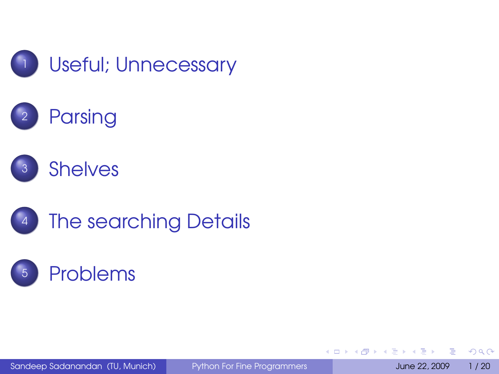

#### [Parsing](#page-10-0)





#### <sup>5</sup> [Problems](#page-29-0)

Sandeep Sadanandan (TU, Munich) [Python For Fine Programmers](#page-30-0) June 22, 2009 1/20

4 17 18

 $\leftarrow$   $\leftarrow$   $\leftarrow$  $\sim$ 

<span id="page-0-0"></span>

 $QQQ$ 

 $\leftarrow$   $\equiv$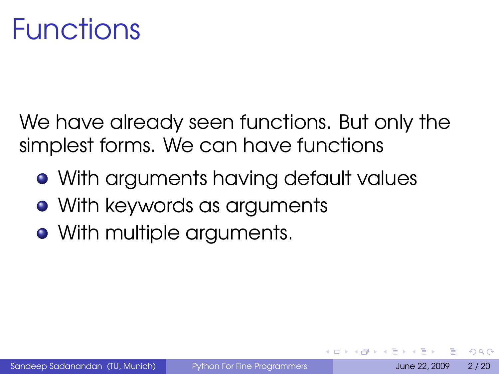We have already seen functions. But only the simplest forms. We can have functions

- With arguments having default values
- With keywords as arguments
- <span id="page-1-0"></span>• With multiple arguments.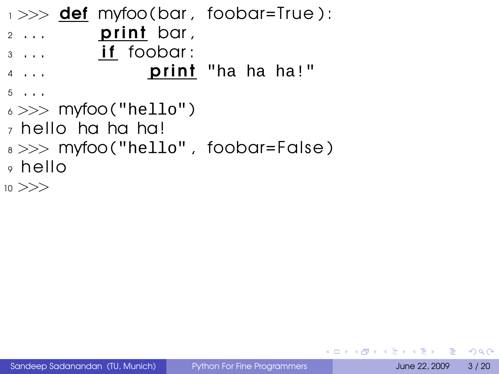```
\rightarrow >> def myfoo (bar, foobar=True):
_2 ... print bar,
\overline{\mathbf{3}} ... if foobar:
\frac{4}{4} ... print "ha ha ha!"
5 \cdot \cdot \cdot6 \gg >> \text{myfoo}('hello")_7 hello ha ha ha!
s \gg\gg myfoo("hello", foobar=False)
\circ hello
10 >>
```
Sandeep Sadanandan (TU, Munich) [Python For Fine Programmers](#page-0-0) June 22, 2009 3/20

 $\Omega$ 

イロト イ押 トイヨ トイヨ トーヨ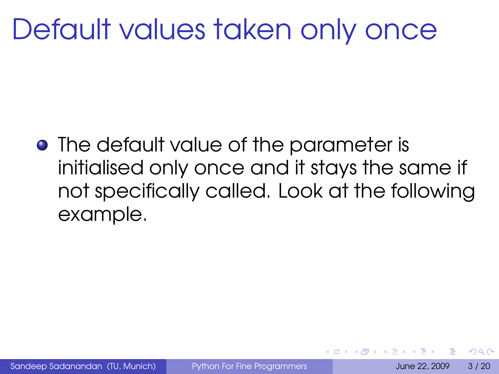## Default values taken only once

**•** The default value of the parameter is initialised only once and it stays the same if not specifically called. Look at the following example.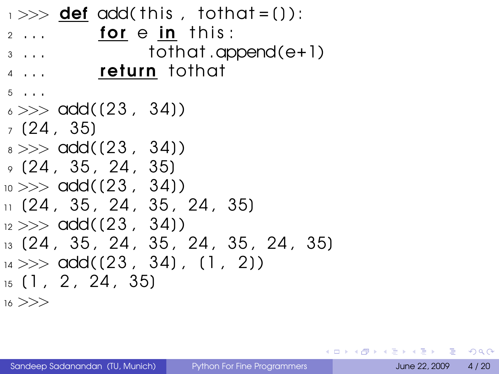```
\rightarrow \rightarrow def add(this , to that = ()):
2 \ldots for e in this:
\overline{3} ... \overline{1} to that \overline{1} append(e+1)
4 ... return tothat
5 . . .
6 \gg >> \text{add}((23, 34))(24, 35)_8 >> \text{odd} (123, 34)9(24, 35, 24, 35)_{10} >> add((23, 34))
11 (24, 35, 24, 35, 24, 35)
_{12} >> \text{add}((23, 34))13 (24, 35, 24, 35, 24, 35, 24, 35)
_{14} >> \text{add}((23, 34), (1, 2))_{15} (1, 2, 24, 35)
16 >>
```
KEL KALLA BIKA BIKA GA A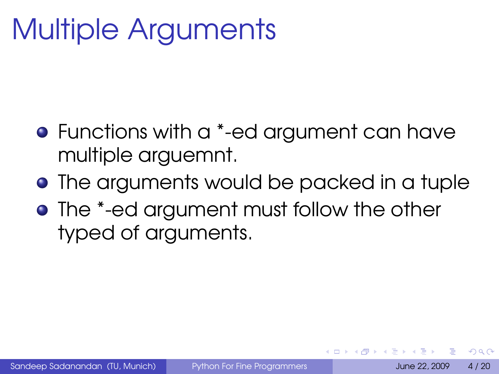## Multiple Arguments

- Functions with a \*-ed argument can have multiple arguemnt.
- **•** The arguments would be packed in a tuple
- **•** The \*-ed argument must follow the other typed of arguments.

 $\Omega$ 

 $\leftarrow$   $\Box$   $\rightarrow$   $\leftarrow$   $\leftarrow$   $\Box$   $\rightarrow$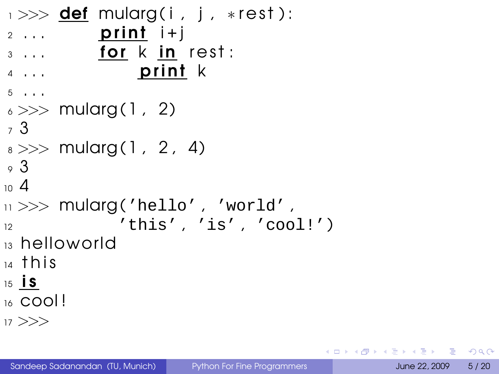```
1 >>> def mularg(1, j, *rest):
2 \ldots print i+j3 \ldots for k in rest:
4 \ldots print k
5 \cdot \cdot \cdot6 \gg >> \text{mularg}(1, 2)7 3
_{8} >> mularg(1, 2, 4)
\circ 3
10 4
\mu >> \text{mularg('hello', 'world',})12 'this' , 'is' , 'cool!')
13 hellowo rld
14 this
15 is
16 cool!
17 >>
```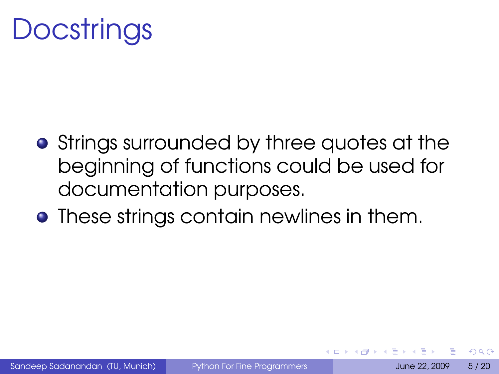# **Docstrings**

- **•** Strings surrounded by three quotes at the beginning of functions could be used for documentation purposes.
- **•** These strings contain newlines in them.

 $\Omega$ 

 $\leftarrow$   $\Box$   $\rightarrow$   $\leftarrow$   $\leftarrow$   $\rightarrow$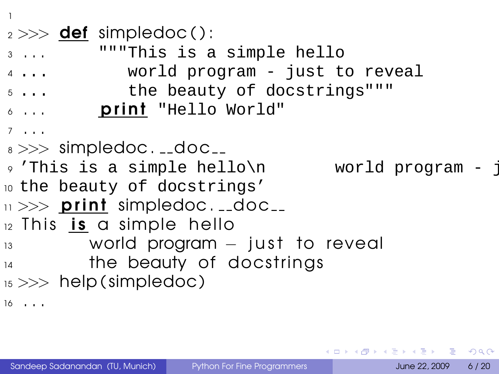1  $2 \gg$  def simpledoc(): <sup>3</sup> . . . """This is a simple hello <sup>4</sup> ... world program - just to reveal <sup>5</sup> ... the beauty of docstrings""" 6 ... **print** "Hello World" <sup>7</sup> . . .  $s \gg\gg$  simpledoc.  $\text{\_}d$  doc $\text{\_}$  $9$  'This is a simple hello $\ln$  world program - just <sup>10</sup> the beauty of docstrings' <sup>11</sup> >>> p r i n t simpledoc . doc  $_{12}$  This is a simple hello  $13$  world program  $-$  just to reveal  $14$  the beauty of docstrings  $15 \gg$  help (simpledoc)  $16 \cdot \cdot \cdot$ 

KEL KALEY (EN EL AQO)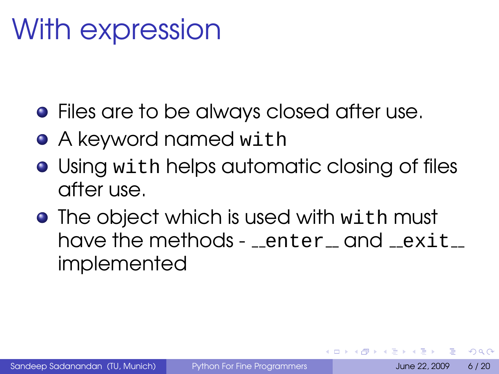## With expression

- Files are to be always closed after use.
- A keyword named with
- **•** Using with helps automatic closing of files after use.
- The object which is used with with must have the methods -  $enter_{ad}$  and  $ext_{ad}$ implemented

 $\Omega$ 

 $\leftarrow$   $\Box$   $\rightarrow$   $\leftarrow$   $\leftarrow$   $\Box$   $\rightarrow$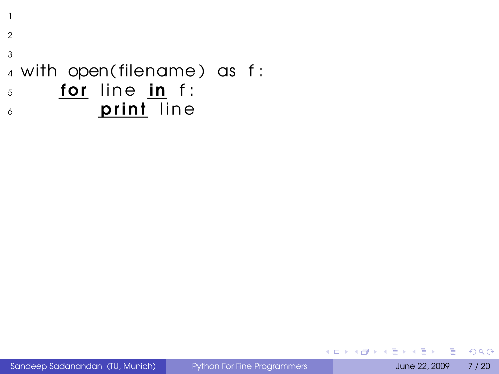2 3 <sup>4</sup> with open( filename ) as f : 5 for line in f: 6 **print** line

1

B

 $QQ$ 

<span id="page-10-0"></span>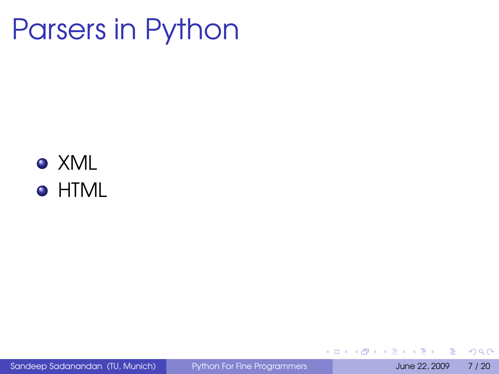## Parsers in Python

#### **•** XML **• HTML**

Sandeep Sadanandan (TU, Munich) [Python For Fine Programmers](#page-0-0) June 22, 2009 7 / 20

B

 $299$ 

 $\left\{ \begin{array}{ccc} 1 & 0 & 0 \\ 0 & 1 & 0 \end{array} \right.$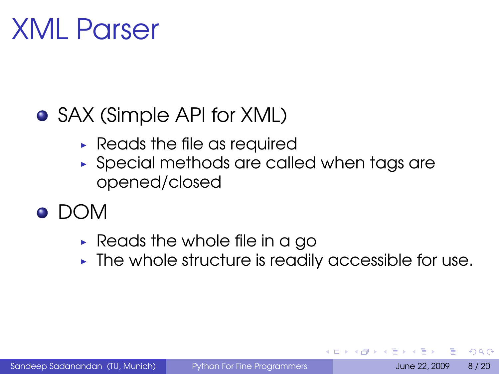#### XML Parser

#### ● SAX (Simple API for XML)

- ► Reads the file as required
- ► Special methods are called when tags are opened/closed
- $\bullet$  DOM
	- $\triangleright$  Reads the whole file in a go
	- ► The whole structure is readily accessible for use.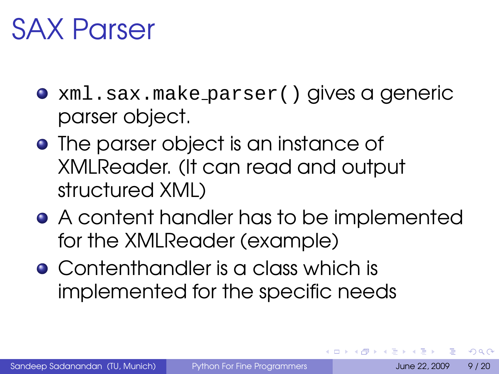#### SAX Parser

- xml.sax.make\_parser() gives a generic parser object.
- **•** The parser object is an instance of XMLReader. (It can read and output structured XML)
- A content handler has to be implemented for the XMLReader (example)
- Contenthandler is a class which is implemented for the specific needs

 $\Omega$ 

**4 ロ ト 4 伺 ト 4 戸 ト**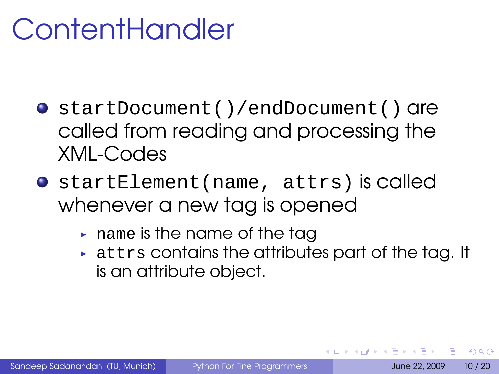## ContentHandler

- startDocument()/endDocument() are called from reading and processing the XML-Codes
- **O** startElement(name, attrs) is called whenever a new tag is opened
	- $\rightarrow$  name is the name of the tag
	- $\rightarrow$  attrs contains the attributes part of the tag. It is an attribute object.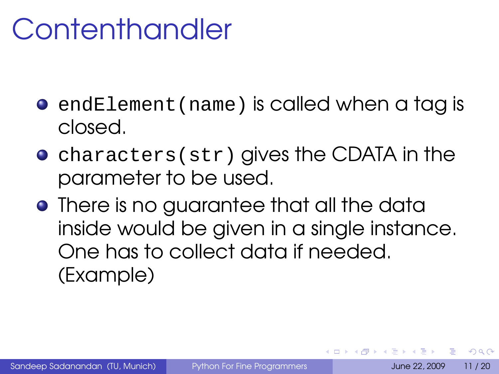#### Contenthandler

- endElement (name) is called when a tag is closed.
- **•** characters(str) gives the CDATA in the parameter to be used.
- **•** There is no guarantee that all the data inside would be given in a single instance. One has to collect data if needed. (Example)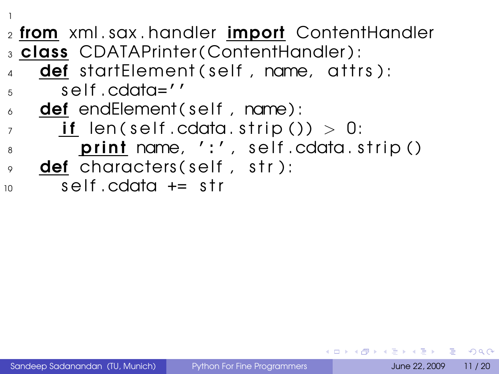```
1
2 from xml.sax.handler import ContentHandler
3 class CDATAPrinter ( ContentHandler ) :
    def startElement (self, name, attrs):
\mathsf{s} self cdata=''
\delta def endElement (self, name):
\overline{z} if len ( self . cdata . strip ( ) \overline{z} 0:
8 print name, ':', self.cdata.strip()
9 \cdot def characters (self, str):
10 self.cdata += str
```

```
Python For Fine Programmers June 22, 2009 11 / 20
```
KEL KALLA BIKA BIKA GA A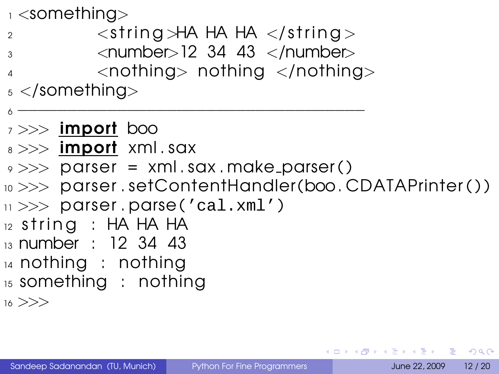$_1$  <something>

 $_2$   $\le$ string $\frac{1}{2}$ HA HA  $\frac{1}{2}$ string $>$  $_3$  <number>12 34 43 </number> <sup>4</sup> <nothing> nothing </nothing>

 $5 <$ /something>

- <sup>6</sup> −−−−−−−−−−−−−−−−−−−−−−−−−−−−−−−−−−−  $7 >>$  import boo
- $s \gg\gg$  import xml.sax
- $\gamma >>$  parser = xml.sax.make\_parser()
- 10 >>> parser.setContentHandler(boo.CDATAPrinter())
- $11$  >>> parser . parse ('cal.xml')
- $12$  string : HA HA HA
- 13 number : 12 34 43
- <sup>14</sup> nothing : nothing
- <sup>15</sup> something : nothing

 $16$  >>>

KEL KALLA BIKA BIKA GA A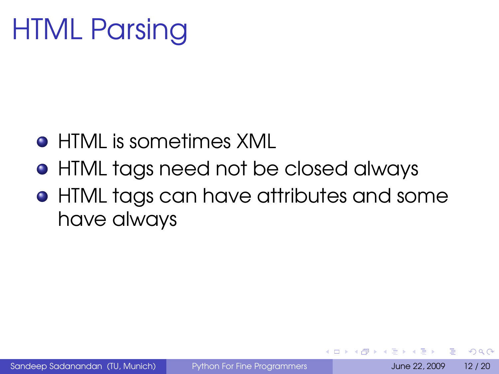## HTML Parsing

- HTML is sometimes XML
- HTML tags need not be closed always
- **•** HTML tags can have attributes and some have always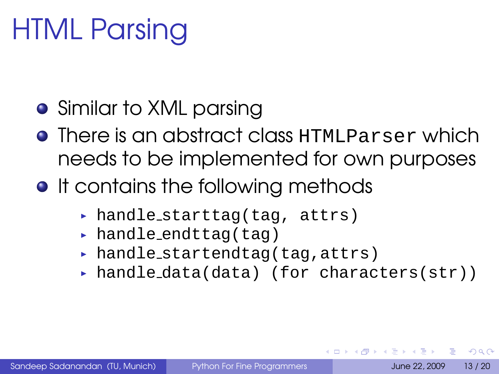## HTML Parsing

- Similar to XML parsing
- **There is an abstract class HTMLParser which** needs to be implemented for own purposes
- **It contains the following methods** 
	- ▶ handle\_starttag(tag, attrs)
	- ▶ handle\_endttag(tag)
	- ▶ handle\_startendtag(tag,attrs)
	- ▶ handle\_data(data) (for characters(str))

 $\Omega$ 

→ 重 トー

**K ロ ト K 何 ト K ヨ ト**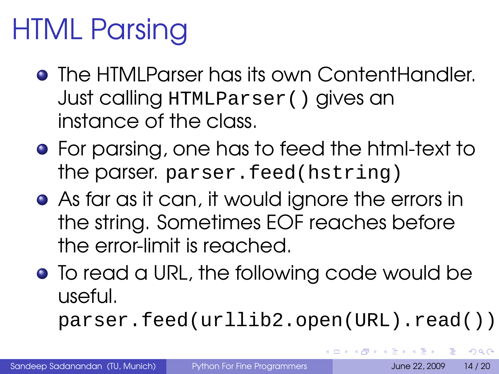## HTML Parsing

- **The HTMI Parser has its own ContentHandler.** Just calling HTMLParser() gives an instance of the class.
- For parsing, one has to feed the html-text to the parser. parser.feed(hstring)
- As far as it can, it would ignore the errors in the string. Sometimes EOF reaches before the error-limit is reached.
- To read a URL, the following code would be useful.

parser.feed(urllib2.open(URL).read())

÷.

 $QQ$ 

イロト イ母 トイラト イラトー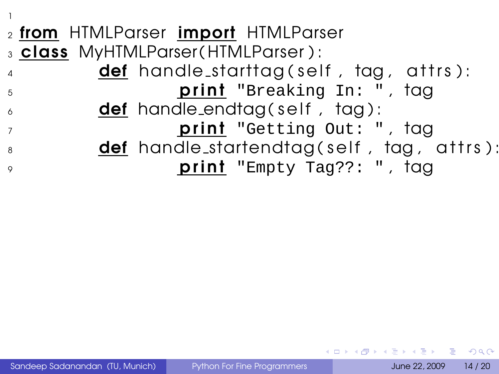| def handle_startendtag(self, tag, attrs): |
|-------------------------------------------|
|                                           |
| def handle_starttag(self, tag, attrs):    |

K ロ > K 御 > K 聖 > K 聖 > 「聖 → の Q Q →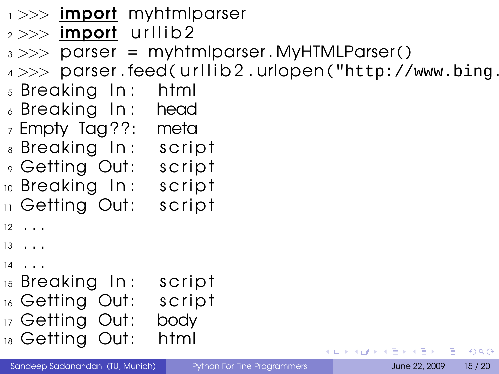```
1 >>> import myhtmlparser
2 >> import urllib2
3 \gg\gg parser = myhtmlparser. MyHTMLParser()
4 \gg\gg parser . feed (urllib2.urlopen ("http://www.bing.
5 Breaking In: html
6 Breaking In: head
7 Empty Tag??: meta
8 Breaking In: script
9 Getting Out: script
10 Breaking In: script
\overline{11} Getting Out: script
12 \cdot . . .13 \cdot . \cdot .
```
- $14 \cdot \cdot \cdot$
- 15 Breaking In: script
- 16 Getting Out: script
- 17 Getting Out: body
- 18 Getting Out: html

Sandeep Sadanandan (TU, Munich) [Python For Fine Programmers](#page-0-0) June 22, 2009 15 / 20

э

 $QQ$ 

<span id="page-22-0"></span>イロト イ押 トイヨ トイヨ トー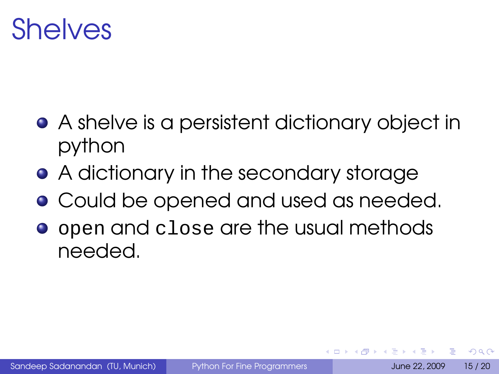

- A shelve is a persistent dictionary object in python
- A dictionary in the secondary storage
- **Could be opened and used as needed.**
- <span id="page-23-0"></span>**•** open and close are the usual methods needed.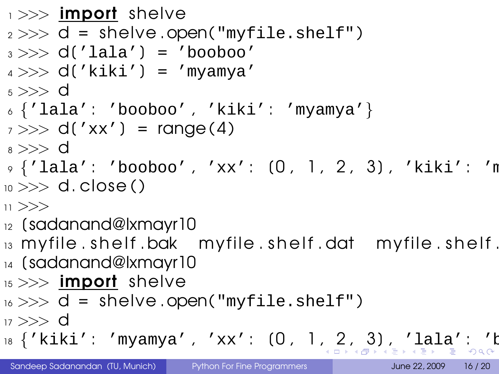```
1 >> import shelve
2 >> d = shelve.open("myfile.shelf")
3 \gg\gg d('lala') = 'booboo'
4 >> d('kiki') = 'myamva'5 \gg D d
6 \{ 'lala' : 'booboo', 'kiki' : 'myamya' \}7 >> d('xx') = range(4)_{8} >>> d
9 {'lala': 'booboo', 'xx': (0, 1, 2, 3), 'kiki': 'm
_{10} >> d. close ()
11 >>12 [ sadanand@lxmayr 10
_{13} my file . shelf . bak my file . shelf . dat my file . shelf .
_{14} (sadanand@lxmayr10
_{15} >> import shelve
16 \gg >> d = shelve.open("myfile.shelf")
17 >>> d
  3'lala': 'kab'jab'kab'kab'kab'kab'kab'kab \}
```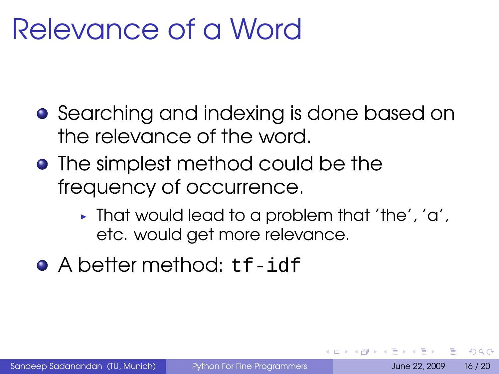### Relevance of a Word

- **•** Searching and indexing is done based on the relevance of the word.
- **•** The simplest method could be the frequency of occurrence.
	- $\blacktriangleright$  That would lead to a problem that 'the', 'a', etc. would get more relevance.
- <span id="page-25-0"></span>**A** hetter method: tf-idf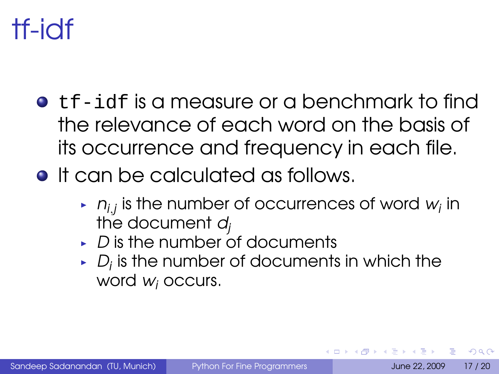#### tf-idf

- **•** tf-idf is a measure or a benchmark to find the relevance of each word on the basis of its occurrence and frequency in each file.
- **•** It can be calculated as follows.
	- $\triangleright$   $\,$   $\,$   $n_{i,j}$  is the number of occurrences of word  $\,$   $\!$   $\!$   $\!$  in the document  $d_i$
	- $\triangleright$  D is the number of documents
	- $\overline{\phantom{a}}$  D<sub>i</sub> is the number of documents in which the word  $w_i$  occurs.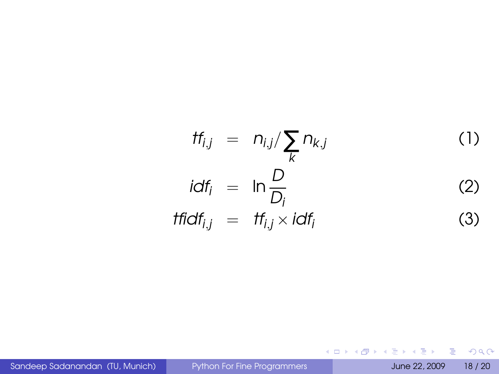$$
tf_{i,j} = n_{i,j} / \sum_{k} n_{k,j}
$$
 (1)  

$$
idf_i = \ln \frac{D}{D_i}
$$
 (2)  

$$
tfidf_{i,j} = tf_{i,j} \times idf_i
$$
 (3)

Sandeep Sadanandan (TU, Munich) [Python For Fine Programmers](#page-0-0) June 22, 2009 18 / 20

K ロ > K 御 > K 聖 > K 聖 > 「聖 → の Q Q →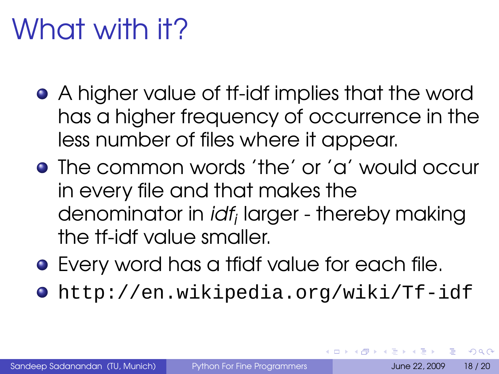## What with it?

- A higher value of tf-idf implies that the word has a higher frequency of occurrence in the less number of files where it appear.
- The common words 'the' or 'a' would occur in every file and that makes the denominator in *idf<sub>i</sub> larger - thereby making* the tf-idf value smaller.
- Every word has a tfidf value for each file.
- http://en.wikipedia.org/wiki/Tf-idf

 $\Omega$ 

<span id="page-28-0"></span> $(1, 1)$   $(1, 1)$   $(1, 1)$   $(1, 1)$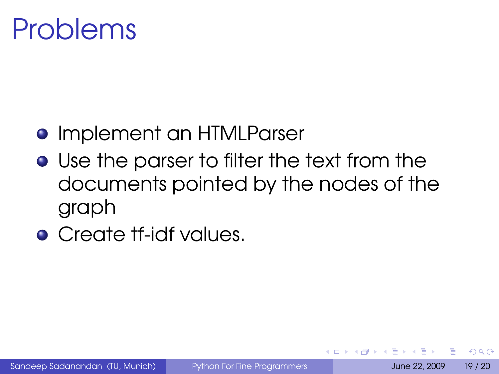### Problems

#### **• Implement an HTMLParser**

- Use the parser to filter the text from the documents pointed by the nodes of the graph
- <span id="page-29-0"></span>Create tf-idf values.